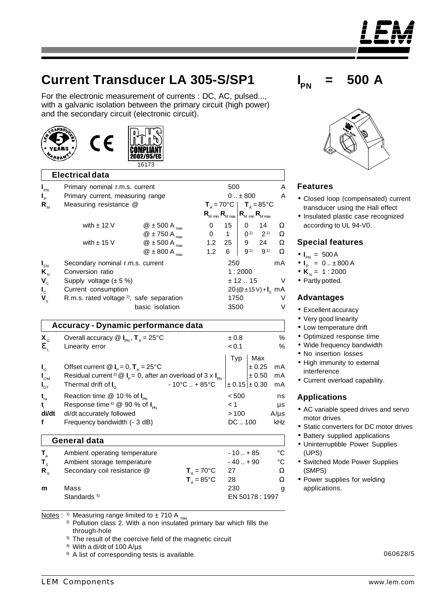# **Current Transducer LA 305-S/SP1**

For the electronic measurement of currents : DC, AC, pulsed..., with a galvanic isolation between the primary circuit (high power) and the secondary circuit (electronic circuit).



CE



|                            | <b>Electrical data</b>                                                      |                            |                   |                                                                             |              |                 |          |
|----------------------------|-----------------------------------------------------------------------------|----------------------------|-------------------|-----------------------------------------------------------------------------|--------------|-----------------|----------|
| $I_{\text{PN}}$            | Primary nominal r.m.s. current                                              | 500                        |                   |                                                                             |              | Α               |          |
| $I_{\rm p}$                | Primary current, measuring range                                            |                            | $0 \pm 800$       |                                                                             |              | A               |          |
| $R_{\scriptscriptstyle M}$ | Measuring resistance @                                                      |                            |                   | $T_A = 70^{\circ}C$   $T_A = 85^{\circ}C$                                   |              |                 |          |
|                            |                                                                             |                            |                   | $R_{M \text{ min}} R_{M \text{ max}}   R_{M \text{ min}} R_{M \text{ max}}$ |              |                 |          |
|                            | with $\pm$ 12 V                                                             | $@$ ± 500 A $max$          | $\Omega$          | 15 <sup>1</sup>                                                             | $\mathbf{0}$ | 14              | Ω        |
|                            |                                                                             | $@$ ± 750 A $max$          | $\mathbf{0}$      | $1 \mid$                                                                    |              | $0^{1}$ $2^{1}$ | $\Omega$ |
|                            | with $\pm$ 15 V                                                             | @ $\pm$ 500 A $_{\rm max}$ |                   | $1.2 \quad 25 \quad   \quad 9 \quad 24$                                     |              |                 | $\Omega$ |
|                            |                                                                             | $@$ ± 800 A $_{max}$       | 1.2               | 6                                                                           | $9^{1}$      | 9 <sup>1</sup>  | $\Omega$ |
| $\mathbf{I}_\mathsf{SN}$   | Secondary nominal r.m.s. current                                            |                            |                   | 250                                                                         |              |                 | mA       |
| $K_{N}$                    | Conversion ratio                                                            |                            | 1:2000            |                                                                             |              |                 |          |
| $\mathbf{V}_{\rm c}$       | Supply voltage $(\pm 5\%)$                                                  |                            |                   | ± 12.15                                                                     |              |                 |          |
| $\mathbf{I}_{\rm c}$       | Current consumption                                                         |                            | $20(@±15V)+Is$ mA |                                                                             |              |                 |          |
| $\mathbf{V}_{\mathrm{b}}$  | R.m.s. rated voltage <sup>2)</sup> , safe separation                        |                            | 1750              |                                                                             |              | V               |          |
|                            | basic isolation                                                             |                            | 3500              |                                                                             |              | V               |          |
|                            | Accuracy - Dynamic performance data                                         |                            |                   |                                                                             |              |                 |          |
| $\mathbf{X}_{\texttt{G}}$  | Overall accuracy $\circledR$ $I_{\text{PN}}$ , $T_{\text{A}} = 25^{\circ}C$ |                            |                   | ± 0.8                                                                       |              |                 | %        |
| $\mathbf{e}_{\text{L}}$    | Linearity error                                                             |                            |                   | < 0.1                                                                       |              |                 | %        |
|                            |                                                                             |                            |                   | Typ                                                                         |              | Max             |          |
| $\mathbf{I}_{\circ}$       | Offset current $\mathbf{Q}$ $I_{\rm p}$ = 0, $T_{\rm A}$ = 25°C             |                            |                   |                                                                             |              | ± 0.25          | mA       |
|                            |                                                                             |                            |                   |                                                                             |              |                 |          |



| <b>General data</b>           |                               |                |    |  |  |  |
|-------------------------------|-------------------------------|----------------|----|--|--|--|
| Ambient operating temperature |                               | $-10. + 85$    | °C |  |  |  |
| Ambient storage temperature   |                               | $-40. + 90$    | °C |  |  |  |
| Secondary coil resistance @   | $T_{\text{A}} = 70^{\circ}C$  | -27            | Ω  |  |  |  |
|                               | $T_{\text{A}} = 85^{\circ}$ C | 28             | Ω  |  |  |  |
| Mass                          |                               | 230            | g  |  |  |  |
| Standards <sup>5)</sup>       |                               | EN 50178: 1997 |    |  |  |  |
|                               |                               |                |    |  |  |  |

Notes : <sup>1)</sup> Measuring range limited to  $\pm$  710 A  $_{\text{max}}$ 

- $2)$  Pollution class 2. With a non insulated primary bar which fills the through-hole
- <sup>3)</sup> The result of the coercive field of the magnetic circuit

4) With a di/dt of 100 A/µs

5) A list of corresponding tests is available.





# **Features**

- Closed loop (compensated) current transducer using the Hall effect
- Insulated plastic case recognized according to UL 94-V0.

#### **Special features**

- $I_{PN} = 500 A$
- $I_p = 0.1 \pm 800$  A
- $K_{N} = 1 : 2000$
- Partly potted.

#### **Advantages**

- Excellent accuracy
- Very good linearity
- Low temperature drift
- Optimized response time
- Wide frequency bandwidth
- No insertion losses
- High immunity to external interference
- Current overload capability.

## **Applications**

- AC variable speed drives and servo motor drives
- Static converters for DC motor drives
- Battery supplied applications
- Uninterruptible Power Supplies (UPS)
- Switched Mode Power Supplies (SMPS)
- Power supplies for welding applications.

060628/5